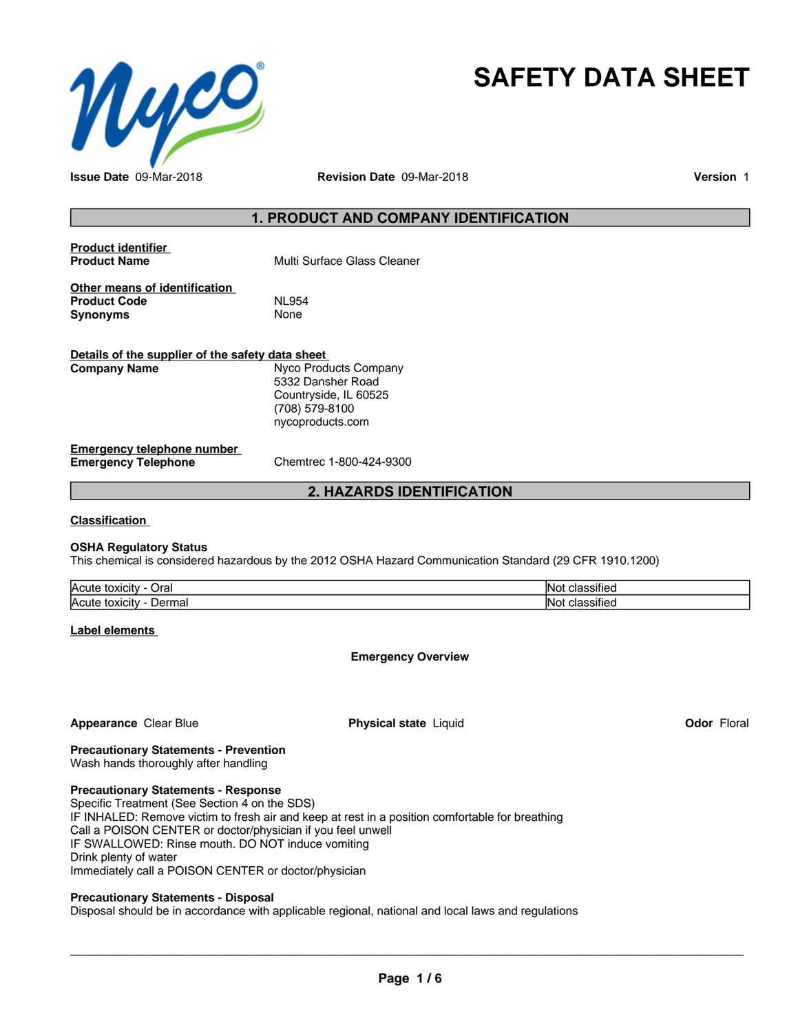

## **SAFETY DATA SHEET**

**Issue Date** 09-Mar-2018 **Revision Date** 09-Mar-2018 **Version** 1

#### **1. PRODUCT AND COMPANY IDENTIFICATION**

| <b>Product identifier</b><br><b>Product Name</b>                                          | Multi Surface Glass Cleaner |  |  |  |
|-------------------------------------------------------------------------------------------|-----------------------------|--|--|--|
| Other means of identification<br><b>Product Code</b><br>Synonyms                          | <b>NL954</b><br>None        |  |  |  |
| Details of the supplier of the safety data sheet<br>Nyco Products Company<br>Company Name |                             |  |  |  |
|                                                                                           |                             |  |  |  |

5332 Dansher Road Countryside, IL 60525 (708) 579-8100 nycoproducts.com

#### **Emergency telephone number Emergency Telephone** Chemtrec 1-800-424-9300

#### **2. HAZARDS IDENTIFICATION**

**Classification**

#### **OSHA Regulatory Status**

This chemical is considered hazardous by the 2012 OSHA Hazard Communication Standard (29 CFR 1910.1200)

| <b>Acute</b><br>Oral<br>$\sim$ 1.5 $\sim$<br><b>TOXICILY</b> | .<br>- Not<br>הור<br>ے ا         |
|--------------------------------------------------------------|----------------------------------|
| <b>Acute</b><br>Jormo<br>t<br>nai<br>. ιυχισιν<br>ver        | .<br>'Not<br>-10<br>٠ı<br>11 J J |

**Label elements**

#### **Emergency Overview**

#### **Appearance Clear Blue <b>Physical state** Liquid

**Odor** Floral

### **Precautionary Statements - Prevention**

Wash hands thoroughly after handling

#### **Precautionary Statements - Response**

Specific Treatment (See Section 4 on the SDS) IF INHALED: Remove victim to fresh air and keep at rest in a position comfortable for breathing Call a POISON CENTER or doctor/physician if you feel unwell IF SWALLOWED: Rinse mouth. DO NOT induce vomiting Drink plenty of water Immediately call a POISON CENTER or doctor/physician

#### **Precautionary Statements - Disposal**

Disposal should be in accordance with applicable regional, national and local laws and regulations

 $\overline{\phantom{a}}$  ,  $\overline{\phantom{a}}$  ,  $\overline{\phantom{a}}$  ,  $\overline{\phantom{a}}$  ,  $\overline{\phantom{a}}$  ,  $\overline{\phantom{a}}$  ,  $\overline{\phantom{a}}$  ,  $\overline{\phantom{a}}$  ,  $\overline{\phantom{a}}$  ,  $\overline{\phantom{a}}$  ,  $\overline{\phantom{a}}$  ,  $\overline{\phantom{a}}$  ,  $\overline{\phantom{a}}$  ,  $\overline{\phantom{a}}$  ,  $\overline{\phantom{a}}$  ,  $\overline{\phantom{a}}$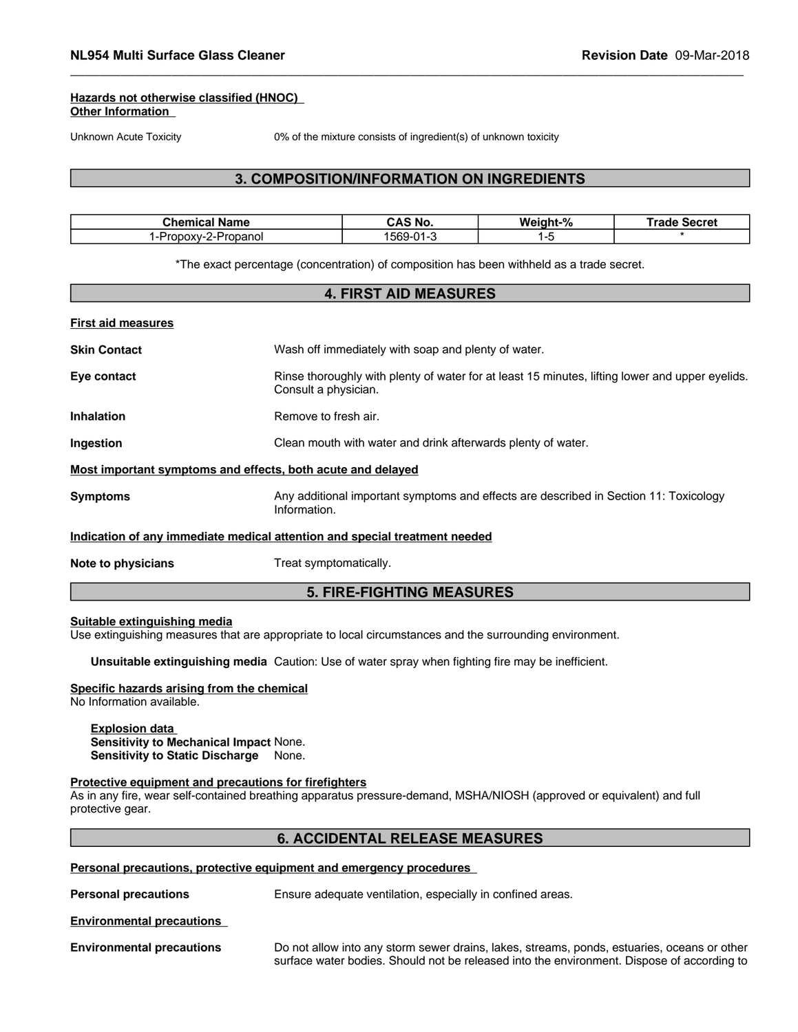#### **Hazards not otherwise classified (HNOC) Other Information**

Unknown Acute Toxicity 0% of the mixture consists of ingredient(s) of unknown toxicity

#### **3. COMPOSITION/INFORMATION ON INGREDIENTS**

| :hemi<br>Name                                         | ™ No.<br>. .<br>. . | .<br>Mс<br>ant-% | ---<br>$-0.000$<br>əeciel |
|-------------------------------------------------------|---------------------|------------------|---------------------------|
| panol<br>$\mathbf{r}$<br>$\sim$ $\cdot$ $\cdot$<br>ΩT | 569<br>$\mathbf{a}$ |                  |                           |

\*The exact percentage (concentration) of composition has been withheld as a trade secret.

## **4. FIRST AID MEASURES First aid measures Skin Contact** Wash off immediately with soap and plenty of water. **Eye contact Rinse thoroughly with plenty of water for at least 15 minutes, lifting lower and upper eyelids.** Consult a physician. **Inhalation** Remove to fresh air. **Ingestion Clean mouth with water and drink afterwards plenty of water. Most important symptoms and effects, both acute and delayed Symptoms** Any additional important symptoms and effects are described in Section 11: Toxicology Information. **Indication of any immediate medical attention and special treatment needed Note to physicians** Treat symptomatically. **5. FIRE-FIGHTING MEASURES**

#### **Suitable extinguishing media**

Use extinguishing measures that are appropriate to local circumstances and the surrounding environment.

**Unsuitable extinguishing media** Caution: Use of water spray when fighting fire may be inefficient.

#### **Specific hazards arising from the chemical**

No Information available.

#### **Explosion data Sensitivity to Mechanical Impact** None. **Sensitivity to Static Discharge** None.

#### **Protective equipment and precautions for firefighters**

As in any fire, wear self-contained breathing apparatus pressure-demand, MSHA/NIOSH (approved or equivalent) and full protective gear.

#### **6. ACCIDENTAL RELEASE MEASURES**

#### **Personal precautions, protective equipment and emergency procedures**

**Personal precautions** Ensure adequate ventilation, especially in confined areas.

#### **Environmental precautions**

**Environmental precautions** Do not allow into any storm sewer drains, lakes, streams, ponds, estuaries, oceans or other surface water bodies. Should not be released into the environment. Dispose of according to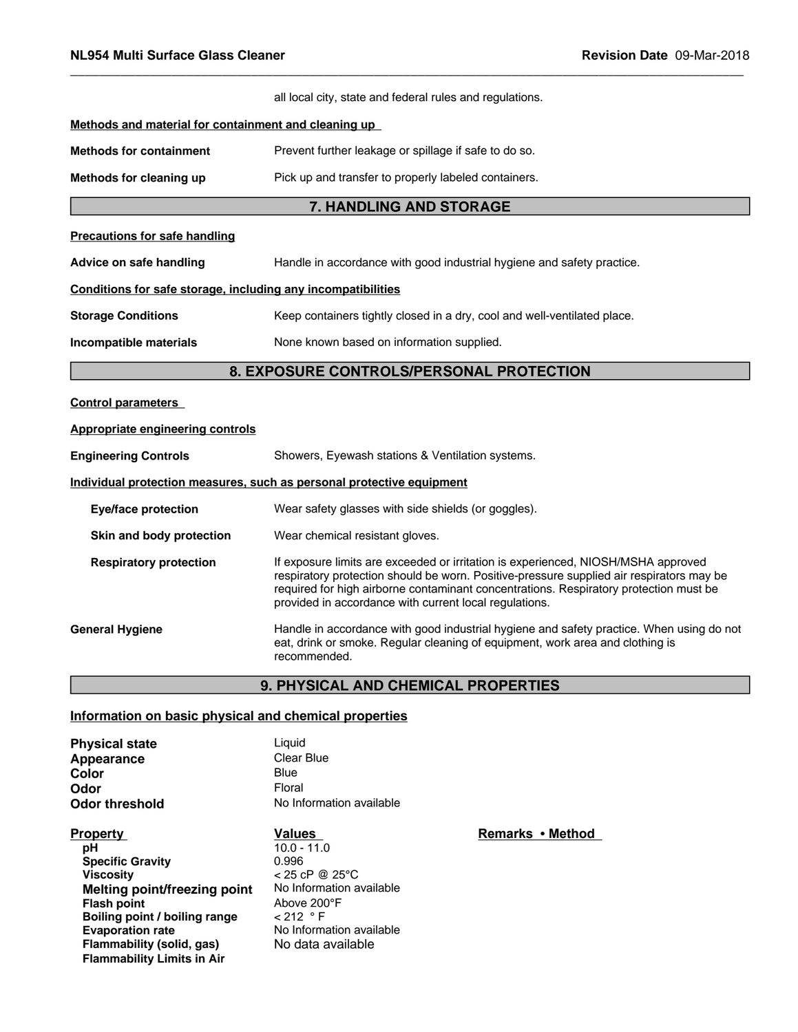|                                                              | all local city, state and federal rules and regulations.                                                                                                                                                                                                                                                                         |
|--------------------------------------------------------------|----------------------------------------------------------------------------------------------------------------------------------------------------------------------------------------------------------------------------------------------------------------------------------------------------------------------------------|
| Methods and material for containment and cleaning up         |                                                                                                                                                                                                                                                                                                                                  |
| <b>Methods for containment</b>                               | Prevent further leakage or spillage if safe to do so.                                                                                                                                                                                                                                                                            |
| Methods for cleaning up                                      | Pick up and transfer to properly labeled containers.                                                                                                                                                                                                                                                                             |
|                                                              | 7. HANDLING AND STORAGE                                                                                                                                                                                                                                                                                                          |
| <b>Precautions for safe handling</b>                         |                                                                                                                                                                                                                                                                                                                                  |
| Advice on safe handling                                      | Handle in accordance with good industrial hygiene and safety practice.                                                                                                                                                                                                                                                           |
| Conditions for safe storage, including any incompatibilities |                                                                                                                                                                                                                                                                                                                                  |
| <b>Storage Conditions</b>                                    | Keep containers tightly closed in a dry, cool and well-ventilated place.                                                                                                                                                                                                                                                         |
| Incompatible materials                                       | None known based on information supplied.                                                                                                                                                                                                                                                                                        |
|                                                              | 8. EXPOSURE CONTROLS/PERSONAL PROTECTION                                                                                                                                                                                                                                                                                         |
| <b>Control parameters</b>                                    |                                                                                                                                                                                                                                                                                                                                  |
| <b>Appropriate engineering controls</b>                      |                                                                                                                                                                                                                                                                                                                                  |
| <b>Engineering Controls</b>                                  | Showers, Eyewash stations & Ventilation systems.                                                                                                                                                                                                                                                                                 |
|                                                              | Individual protection measures, such as personal protective equipment                                                                                                                                                                                                                                                            |
| <b>Eye/face protection</b>                                   | Wear safety glasses with side shields (or goggles).                                                                                                                                                                                                                                                                              |
| Skin and body protection                                     | Wear chemical resistant gloves.                                                                                                                                                                                                                                                                                                  |
| <b>Respiratory protection</b>                                | If exposure limits are exceeded or irritation is experienced, NIOSH/MSHA approved<br>respiratory protection should be worn. Positive-pressure supplied air respirators may be<br>required for high airborne contaminant concentrations. Respiratory protection must be<br>provided in accordance with current local regulations. |
| <b>General Hygiene</b>                                       | Handle in accordance with good industrial hygiene and safety practice. When using do not<br>eat, drink or smoke. Regular cleaning of equipment, work area and clothing is<br>recommended.                                                                                                                                        |
|                                                              | <b>9. PHYSICAL AND CHEMICAL PROPERTIES</b>                                                                                                                                                                                                                                                                                       |

#### **Information on basic physical and chemical properties**

| <b>Physical state</b> | Liauid                   |
|-----------------------|--------------------------|
| Appearance            | Clear Blue               |
| Color                 | Blue                     |
| Odor                  | Floral                   |
| Odor threshold        | No Information available |

**Property**<br> **Property**<br> **PH**<br> **PH**<br> **PH**<br> **PH**<br> **PH**<br> **PH**<br> **PH**<br> **PH pH** 10.0 - 11.0 **Specific Gravity** 0.996 **Viscosity**<br> **Viscosity**<br> **Melting point/freezing point**<br>
No Information available **Melting point/freezing point Flash point Boiling point / boiling range<br><b>Evaporation rate Flammability (solid, gas)** No data available **Flammability Limits in Air**

# Above 200°F<br>< 212 ° F **No Information available**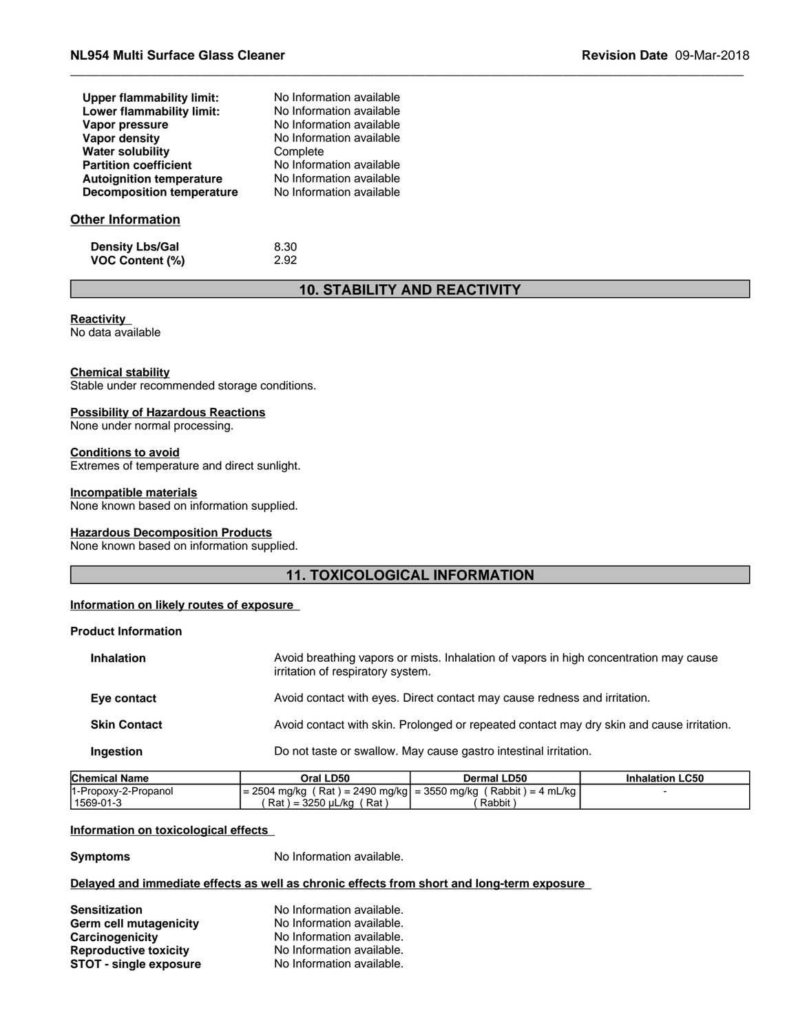| Upper flammability limit:        | No Information available |  |
|----------------------------------|--------------------------|--|
| Lower flammability limit:        | No Information available |  |
| Vapor pressure                   | No Information available |  |
| Vapor density                    | No Information available |  |
| <b>Water solubility</b>          | Complete                 |  |
| <b>Partition coefficient</b>     | No Information available |  |
| <b>Autoignition temperature</b>  | No Information available |  |
| <b>Decomposition temperature</b> | No Information available |  |
| Other Information                |                          |  |
| <b>Density Lbs/Gal</b>           | 8.30                     |  |
| <b>VOC Content (%)</b>           | 2.92                     |  |

#### **10. STABILITY AND REACTIVITY**

#### **Reactivity**

No data available

#### **Chemical stability**

Stable under recommended storage conditions.

#### **Possibility of Hazardous Reactions**

None under normal processing.

#### **Conditions to avoid**

Extremes of temperature and direct sunlight.

#### **Incompatible materials**

None known based on information supplied.

#### **Hazardous Decomposition Products**

None known based on information supplied.

#### **11. TOXICOLOGICAL INFORMATION**

#### **Information on likely routes of exposure**

#### **Product Information**

| <b>Inhalation</b>   | Avoid breathing vapors or mists. Inhalation of vapors in high concentration may cause<br>irritation of respiratory system. |
|---------------------|----------------------------------------------------------------------------------------------------------------------------|
| Eye contact         | Avoid contact with eyes. Direct contact may cause redness and irritation.                                                  |
| <b>Skin Contact</b> | Avoid contact with skin. Prolonged or repeated contact may dry skin and cause irritation.                                  |
| Ingestion           | Do not taste or swallow. May cause gastro intestinal irritation.                                                           |

| <b>Chemical Name</b> | Oral LD50                                      | Dermal LD50          | <b>Inhalation LC50</b> |
|----------------------|------------------------------------------------|----------------------|------------------------|
| 1-Propoxy-2-Propanol | $= 2504$ mg/kg (Rat) = 2490 mg/kg = 3550 mg/kg | $(Rabbit) = 4 mL/kg$ |                        |
| 1569-01-3            | Rat) = 3250 uL/kg (<br>∶ Rat ا                 | Rabbit               |                        |

#### **Information on toxicological effects**

**Symptoms** No Information available.

#### **Delayed and immediate effects as well as chronic effects from short and long-term exposure**

| Sensitization                 | No Information available. |
|-------------------------------|---------------------------|
| Germ cell mutagenicity        | No Information available. |
| Carcinogenicity               | No Information available. |
| <b>Reproductive toxicity</b>  | No Information available. |
| <b>STOT - single exposure</b> | No Information available. |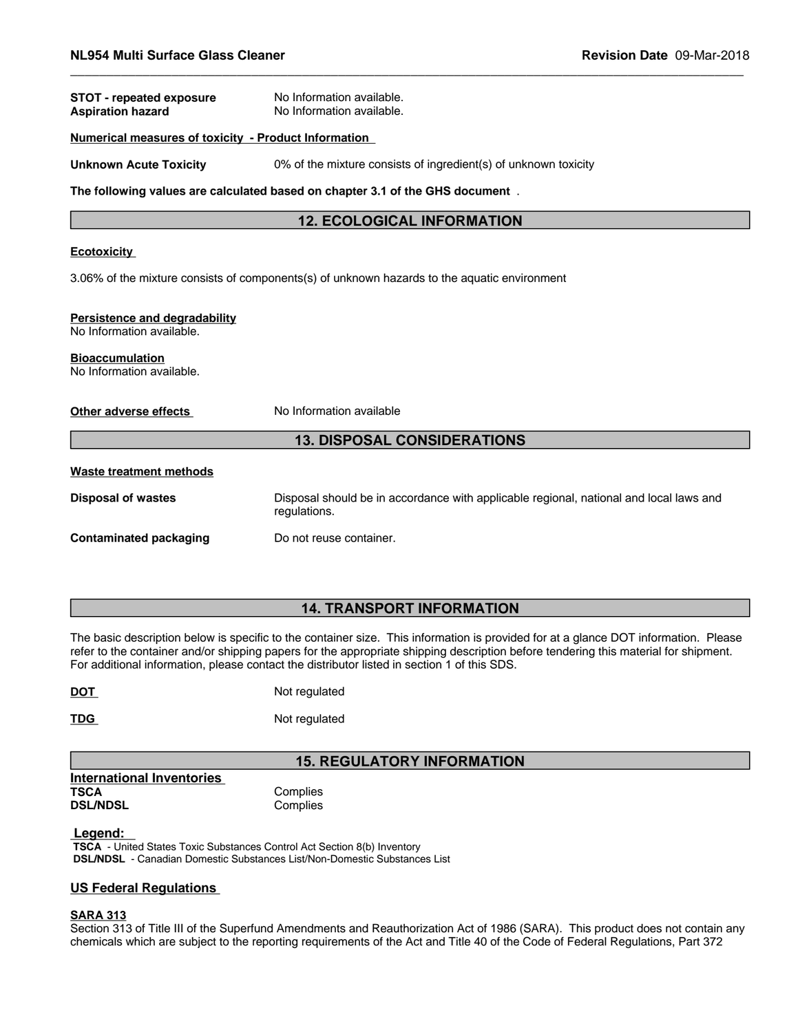| <b>STOT - repeated exposure</b><br><b>Aspiration hazard</b>                                  | No Information available.<br>No Information available.                                                 |  |  |
|----------------------------------------------------------------------------------------------|--------------------------------------------------------------------------------------------------------|--|--|
| Numerical measures of toxicity - Product Information                                         |                                                                                                        |  |  |
| <b>Unknown Acute Toxicity</b>                                                                | 0% of the mixture consists of ingredient(s) of unknown toxicity                                        |  |  |
|                                                                                              | The following values are calculated based on chapter 3.1 of the GHS document.                          |  |  |
|                                                                                              | <b>12. ECOLOGICAL INFORMATION</b>                                                                      |  |  |
| <b>Ecotoxicity</b>                                                                           |                                                                                                        |  |  |
| 3.06% of the mixture consists of components(s) of unknown hazards to the aquatic environment |                                                                                                        |  |  |
| Persistence and degradability<br>No Information available.                                   |                                                                                                        |  |  |
| <b>Bioaccumulation</b><br>No Information available.                                          |                                                                                                        |  |  |
| Other adverse effects                                                                        | No Information available                                                                               |  |  |
| <b>13. DISPOSAL CONSIDERATIONS</b>                                                           |                                                                                                        |  |  |
| <b>Waste treatment methods</b>                                                               |                                                                                                        |  |  |
| <b>Disposal of wastes</b>                                                                    | Disposal should be in accordance with applicable regional, national and local laws and<br>regulations. |  |  |

**Contaminated packaging** Do not reuse container.

#### **14. TRANSPORT INFORMATION**

The basic description below is specific to the container size. This information is provided for at a glance DOT information. Please refer to the container and/or shipping papers for the appropriate shipping description before tendering this material for shipment. For additional information, please contact the distributor listed in section 1 of this SDS.

| <b>DOT</b> | Not regulated |
|------------|---------------|
|            |               |

**TDG** Not regulated

#### **15. REGULATORY INFORMATION**

**International Inventories TSCA** Complies **DSL/NDSL** Complies

#### **Legend:**

 **TSCA** - United States Toxic Substances Control Act Section 8(b) Inventory  **DSL/NDSL** - Canadian Domestic Substances List/Non-Domestic Substances List

#### **US Federal Regulations**

#### **SARA 313**

Section 313 of Title III of the Superfund Amendments and Reauthorization Act of 1986 (SARA). This product does not contain any chemicals which are subject to the reporting requirements of the Act and Title 40 of the Code of Federal Regulations, Part 372